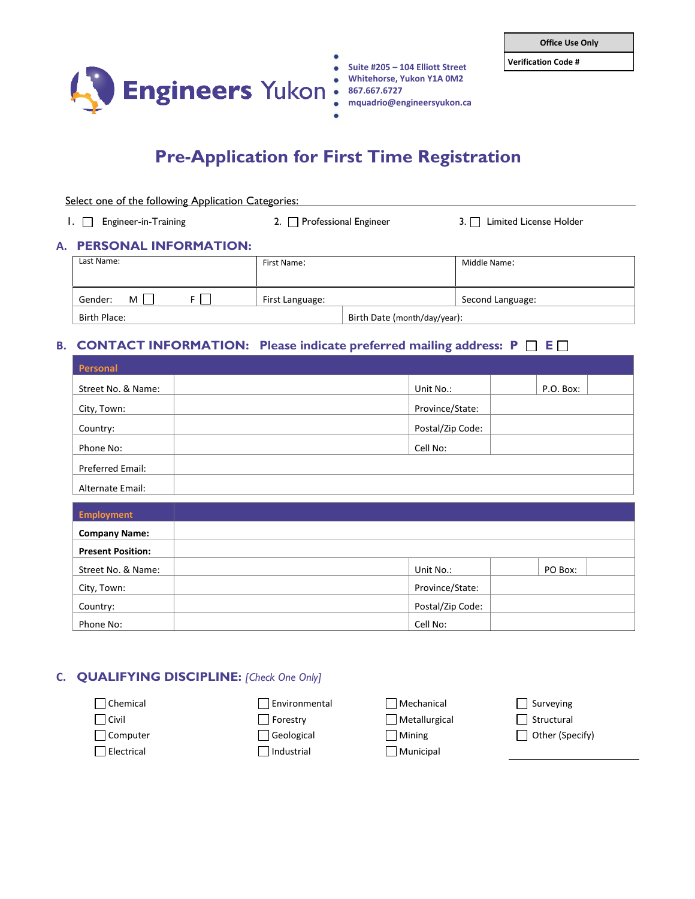



- **Verification Code # Suite #205 – 104 Elliott Street**
	- **Whitehorse, Yukon Y1A 0M2**
- **867.667.6727**

**mquadrio@engineersyukon.ca**

# **Pre-Application for First Time Registration**

| Select one of the following Application Categories: |                                 |                                  |  |
|-----------------------------------------------------|---------------------------------|----------------------------------|--|
| $\Box$ Engineer-in-Training                         | 2. $\Box$ Professional Engineer | $3. \Box$ Limited License Holder |  |

#### **A. PERSONAL INFORMATION:**

| Last Name:   | First Name:     |                              | Middle Name:     |
|--------------|-----------------|------------------------------|------------------|
| Gender:<br>м | First Language: |                              | Second Language: |
| Birth Place: |                 | Birth Date (month/day/year): |                  |

## **B. CONTACT INFORMATION:** Please indicate preferred mailing address:  $P \Box E \Box$

| Personal           |                  |           |
|--------------------|------------------|-----------|
| Street No. & Name: | Unit No.:        | P.O. Box: |
| City, Town:        | Province/State:  |           |
| Country:           | Postal/Zip Code: |           |
| Phone No:          | Cell No:         |           |
| Preferred Email:   |                  |           |
| Alternate Email:   |                  |           |

| Employment               |                  |         |
|--------------------------|------------------|---------|
| <b>Company Name:</b>     |                  |         |
| <b>Present Position:</b> |                  |         |
| Street No. & Name:       | Unit No.:        | PO Box: |
| City, Town:              | Province/State:  |         |
| Country:                 | Postal/Zip Code: |         |
| Phone No:                | Cell No:         |         |

### **C. QUALIFYING DISCIPLINE:** *[Check One Only]*

| Chemical   | Environmental | Mechanical    | Surveying       |
|------------|---------------|---------------|-----------------|
| Civil      | Forestry      | Metallurgical | Structural      |
| Computer   | Geological    | Mining        | Other (Specify) |
| Electrical | Industrial    | Municipal     |                 |
|            |               |               |                 |